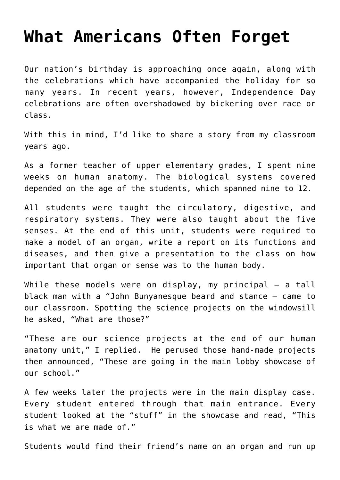## **[What Americans Often Forget](https://intellectualtakeout.org/2019/07/what-americans-often-forget/)**

Our nation's birthday is approaching once again, along with the celebrations which have accompanied the holiday for so many years. In recent years, however, Independence Day celebrations are often overshadowed by bickering over race or class.

With this in mind, I'd like to share a story from my classroom years ago.

As a former teacher of upper elementary grades, I spent nine weeks on human anatomy. The biological systems covered depended on the age of the students, which spanned nine to 12.

All students were taught the circulatory, digestive, and respiratory systems. They were also taught about the five senses. At the end of this unit, students were required to make a model of an organ, write a report on its functions and diseases, and then give a presentation to the class on how important that organ or sense was to the human body.

While these models were on display, my principal – a tall black man with a "John Bunyanesque beard and stance – came to our classroom. Spotting the science projects on the windowsill he asked, "What are those?"

"These are our science projects at the end of our human anatomy unit," I replied. He perused those hand-made projects then announced, "These are going in the main lobby showcase of our school."

A few weeks later the projects were in the main display case. Every student entered through that main entrance. Every student looked at the "stuff" in the showcase and read, "This is what we are made of."

Students would find their friend's name on an organ and run up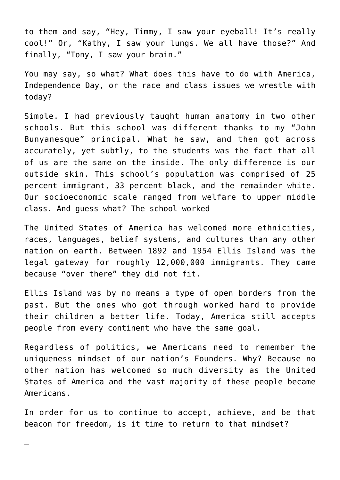to them and say, "Hey, Timmy, I saw your eyeball! It's really cool!" Or, "Kathy, I saw your lungs. We all have those?" And finally, "Tony, I saw your brain."

You may say, so what? What does this have to do with America, Independence Day, or the race and class issues we wrestle with today?

Simple. I had previously taught human anatomy in two other schools. But this school was different thanks to my "John Bunyanesque" principal. What he saw, and then got across accurately, yet subtly, to the students was the fact that all of us are the same on the inside. The only difference is our outside skin. This school's population was comprised of 25 percent immigrant, 33 percent black, and the remainder white. Our socioeconomic scale ranged from welfare to upper middle class. And guess what? The school worked

The United States of America has welcomed more ethnicities, races, languages, belief systems, and cultures than any other nation on earth. Between 1892 and 1954 Ellis Island was the legal gateway for roughly 12,000,000 immigrants. They came because "over there" they did not fit.

Ellis Island was by no means a type of open borders from the past. But the ones who got through worked hard to provide their children a better life. Today, America still accepts people from every continent who have the same goal.

Regardless of politics, we Americans need to remember the uniqueness mindset of our nation's Founders. Why? Because no other nation has welcomed so much diversity as the United States of America and the vast majority of these people became Americans.

In order for us to continue to accept, achieve, and be that beacon for freedom, is it time to return to that mindset?

—